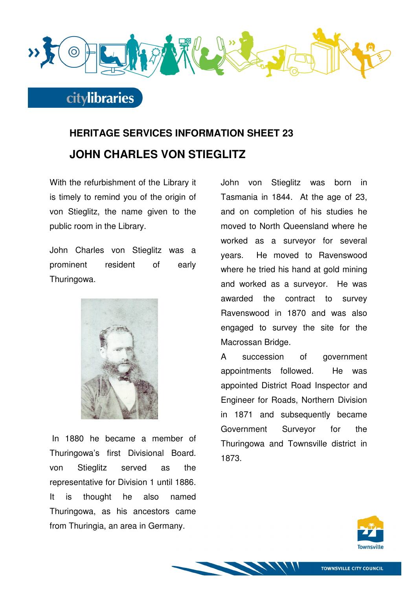

## **HERITAGE SERVICES INFORMATION SHEET 23 JOHN CHARLES VON STIEGLITZ**

With the refurbishment of the Library it is timely to remind you of the origin of von Stieglitz, the name given to the public room in the Library.

John Charles von Stieglitz was a prominent resident of early Thuringowa.



 In 1880 he became a member of Thuringowa's first Divisional Board. von Stieglitz served as the representative for Division 1 until 1886. It is thought he also named Thuringowa, as his ancestors came from Thuringia, an area in Germany.

John von Stieglitz was born in Tasmania in 1844. At the age of 23, and on completion of his studies he moved to North Queensland where he worked as a surveyor for several years. He moved to Ravenswood where he tried his hand at gold mining and worked as a surveyor. He was awarded the contract to survey Ravenswood in 1870 and was also engaged to survey the site for the Macrossan Bridge.

A succession of government appointments followed. He was appointed District Road Inspector and Engineer for Roads, Northern Division in 1871 and subsequently became Government Surveyor for the Thuringowa and Townsville district in 1873.